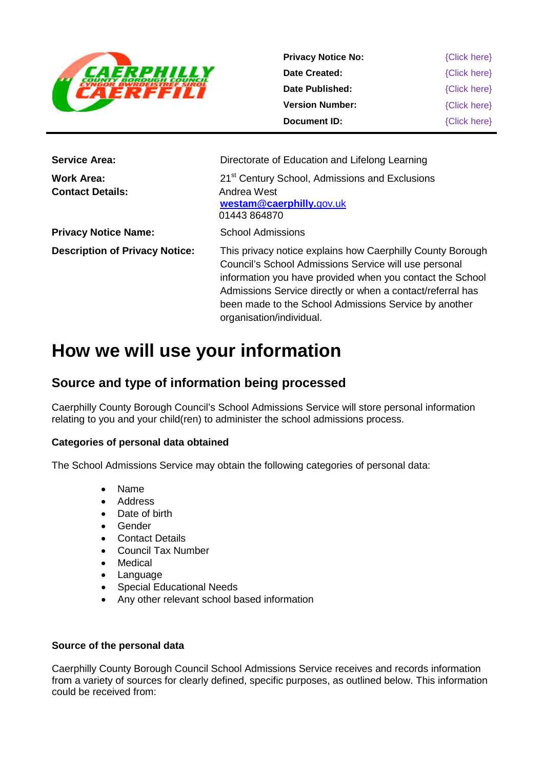

| <b>Privacy Notice No:</b> | {Click here} |
|---------------------------|--------------|
| Date Created:             | {Click here} |
| Date Published:           | {Click here} |
| <b>Version Number:</b>    | {Click here} |
| Document ID:              | {Click here} |
|                           |              |

| <b>Service Area:</b>                  | Directorate of Education and Lifelong Learning                                                                                                                                                                                                                                                                                      |
|---------------------------------------|-------------------------------------------------------------------------------------------------------------------------------------------------------------------------------------------------------------------------------------------------------------------------------------------------------------------------------------|
| Work Area:<br><b>Contact Details:</b> | 21 <sup>st</sup> Century School, Admissions and Exclusions<br>Andrea West<br>westam@caerphilly.gov.uk<br>01443 864870                                                                                                                                                                                                               |
| <b>Privacy Notice Name:</b>           | <b>School Admissions</b>                                                                                                                                                                                                                                                                                                            |
| <b>Description of Privacy Notice:</b> | This privacy notice explains how Caerphilly County Borough<br>Council's School Admissions Service will use personal<br>information you have provided when you contact the School<br>Admissions Service directly or when a contact/referral has<br>been made to the School Admissions Service by another<br>organisation/individual. |

# **How we will use your information**

### **Source and type of information being processed**

Caerphilly County Borough Council's School Admissions Service will store personal information relating to you and your child(ren) to administer the school admissions process.

#### **Categories of personal data obtained**

The School Admissions Service may obtain the following categories of personal data:

- Name
- Address
- Date of birth
- **Gender**
- Contact Details
- Council Tax Number
- **Medical**
- Language
- Special Educational Needs
- Any other relevant school based information

#### **Source of the personal data**

Caerphilly County Borough Council School Admissions Service receives and records information from a variety of sources for clearly defined, specific purposes, as outlined below. This information could be received from: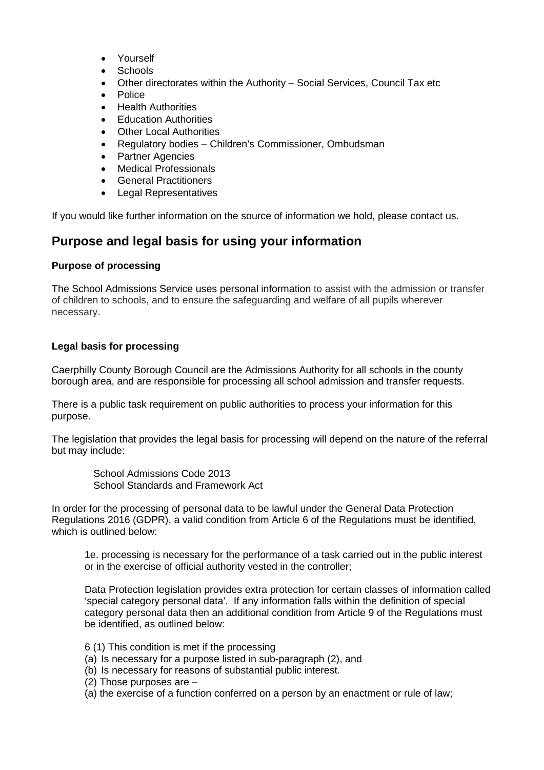- Yourself
- Schools
- Other directorates within the Authority Social Services, Council Tax etc
- Police
- Health Authorities
- Education Authorities
- **Other Local Authorities**
- Regulatory bodies Children's Commissioner, Ombudsman
- Partner Agencies
- Medical Professionals
- General Practitioners
- Legal Representatives

If you would like further information on the source of information we hold, please contact us.

### **Purpose and legal basis for using your information**

#### **Purpose of processing**

The School Admissions Service uses personal information to assist with the admission or transfer of children to schools, and to ensure the safeguarding and welfare of all pupils wherever necessary.

#### **Legal basis for processing**

Caerphilly County Borough Council are the Admissions Authority for all schools in the county borough area, and are responsible for processing all school admission and transfer requests.

There is a public task requirement on public authorities to process your information for this purpose.

The legislation that provides the legal basis for processing will depend on the nature of the referral but may include:

School Admissions Code 2013 School Standards and Framework Act

In order for the processing of personal data to be lawful under the General Data Protection Regulations 2016 (GDPR), a valid condition from Article 6 of the Regulations must be identified, which is outlined below:

1e. processing is necessary for the performance of a task carried out in the public interest or in the exercise of official authority vested in the controller;

Data Protection legislation provides extra protection for certain classes of information called 'special category personal data'. If any information falls within the definition of special category personal data then an additional condition from Article 9 of the Regulations must be identified, as outlined below:

- 6 (1) This condition is met if the processing
- (a) Is necessary for a purpose listed in sub-paragraph (2), and
- (b) Is necessary for reasons of substantial public interest.
- (2) Those purposes are –
- (a) the exercise of a function conferred on a person by an enactment or rule of law;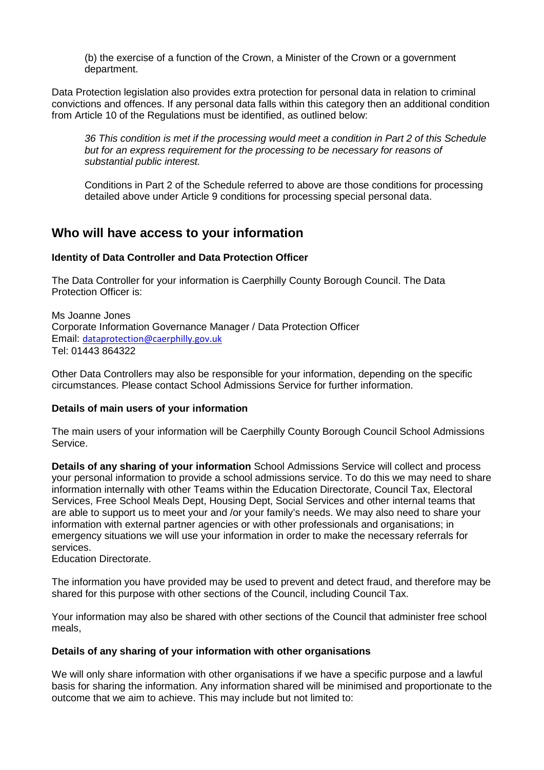(b) the exercise of a function of the Crown, a Minister of the Crown or a government department.

Data Protection legislation also provides extra protection for personal data in relation to criminal convictions and offences. If any personal data falls within this category then an additional condition from Article 10 of the Regulations must be identified, as outlined below:

*36 This condition is met if the processing would meet a condition in Part 2 of this Schedule but for an express requirement for the processing to be necessary for reasons of substantial public interest.* 

Conditions in Part 2 of the Schedule referred to above are those conditions for processing detailed above under Article 9 conditions for processing special personal data.

### **Who will have access to your information**

#### **Identity of Data Controller and Data Protection Officer**

The Data Controller for your information is Caerphilly County Borough Council. The Data Protection Officer is:

Ms Joanne Jones Corporate Information Governance Manager / Data Protection Officer Email: [dataprotection@caerphilly.gov.uk](mailto:dataprotection@caerphilly.gov.uk) Tel: 01443 864322

Other Data Controllers may also be responsible for your information, depending on the specific circumstances. Please contact School Admissions Service for further information.

#### **Details of main users of your information**

The main users of your information will be Caerphilly County Borough Council School Admissions Service.

**Details of any sharing of your information** School Admissions Service will collect and process your personal information to provide a school admissions service. To do this we may need to share information internally with other Teams within the Education Directorate, Council Tax, Electoral Services, Free School Meals Dept, Housing Dept, Social Services and other internal teams that are able to support us to meet your and /or your family's needs. We may also need to share your information with external partner agencies or with other professionals and organisations; in emergency situations we will use your information in order to make the necessary referrals for services.

Education Directorate.

The information you have provided may be used to prevent and detect fraud, and therefore may be shared for this purpose with other sections of the Council, including Council Tax.

Your information may also be shared with other sections of the Council that administer free school meals,

#### **Details of any sharing of your information with other organisations**

We will only share information with other organisations if we have a specific purpose and a lawful basis for sharing the information. Any information shared will be minimised and proportionate to the outcome that we aim to achieve. This may include but not limited to: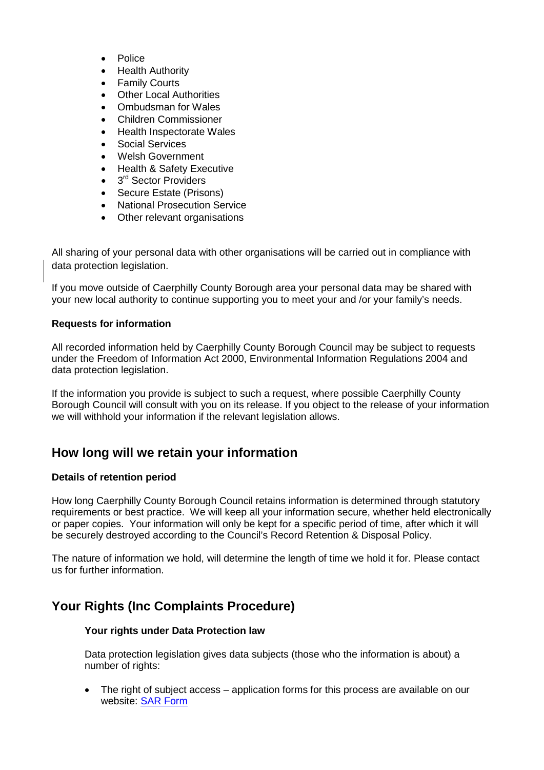- Police
- **Health Authority**
- **Family Courts**
- **Other Local Authorities**
- Ombudsman for Wales
- Children Commissioner
- Health Inspectorate Wales
- Social Services
- Welsh Government
- Health & Safety Executive
- 3<sup>rd</sup> Sector Providers
- Secure Estate (Prisons)
- National Prosecution Service
- Other relevant organisations

All sharing of your personal data with other organisations will be carried out in compliance with data protection legislation.

If you move outside of Caerphilly County Borough area your personal data may be shared with your new local authority to continue supporting you to meet your and /or your family's needs.

#### **Requests for information**

All recorded information held by Caerphilly County Borough Council may be subject to requests under the Freedom of Information Act 2000, Environmental Information Regulations 2004 and data protection legislation.

If the information you provide is subject to such a request, where possible Caerphilly County Borough Council will consult with you on its release. If you object to the release of your information we will withhold your information if the relevant legislation allows.

### **How long will we retain your information**

#### **Details of retention period**

How long Caerphilly County Borough Council retains information is determined through statutory requirements or best practice. We will keep all your information secure, whether held electronically or paper copies. Your information will only be kept for a specific period of time, after which it will be securely destroyed according to the Council's Record Retention & Disposal Policy.

The nature of information we hold, will determine the length of time we hold it for. Please contact us for further information.

## **Your Rights (Inc Complaints Procedure)**

#### **Your rights under Data Protection law**

Data protection legislation gives data subjects (those who the information is about) a number of rights:

The right of subject access – application forms for this process are available on our website: [SAR Form](http://www.caerphilly.gov.uk/CaerphillyDocs/Council-and-democracy/sar_form.aspx)